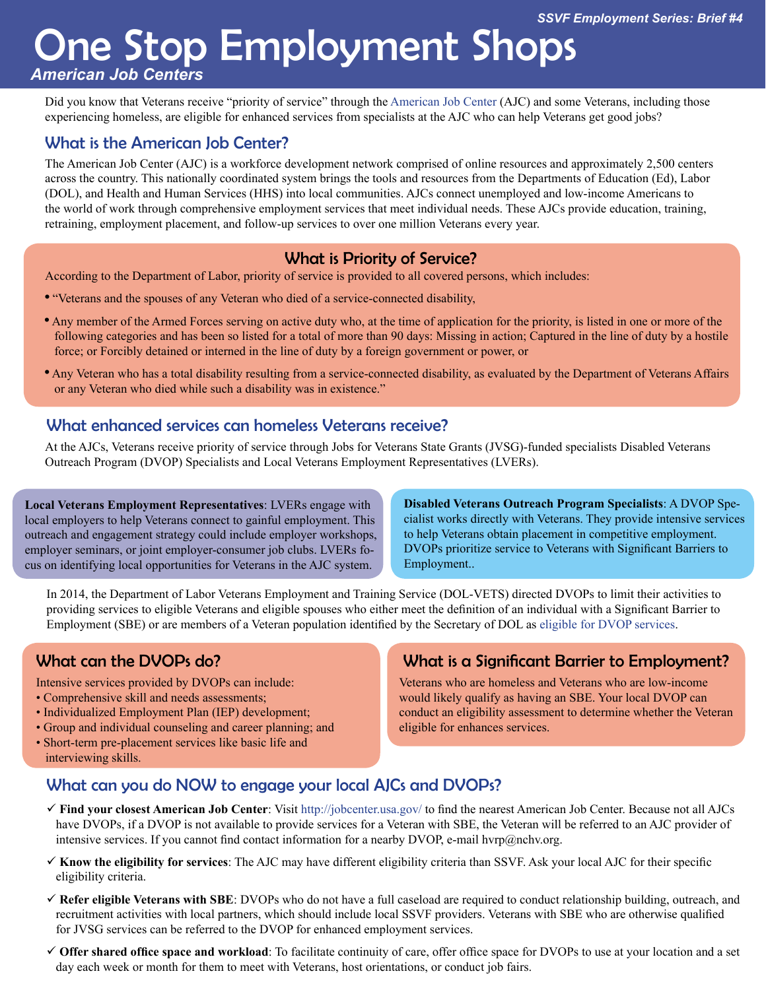# One Stop Employment Shops

*American Job Centers* 

Did you know that Veterans receive "priority of service" through the American Job Center (AJC) and some Veterans, including those experiencing homeless, are eligible for enhanced services from specialists at the AJC who can help Veterans get good jobs?

## What is the American Job Center?

The American Job Center (AJC) is a workforce development network comprised of online resources and approximately 2,500 centers across the country. This nationally coordinated system brings the tools and resources from the Departments of Education (Ed), Labor (DOL), and Health and Human Services (HHS) into local communities. AJCs connect unemployed and low-income Americans to the world of work through comprehensive employment services that meet individual needs. These AJCs provide education, training, retraining, employment placement, and follow-up services to over one million Veterans every year.

#### What is Priority of Service?

According to the Department of Labor, priority of service is provided to all covered persons, which includes:

- "Veterans and the spouses of any Veteran who died of a service-connected disability ,
- Any member of the Armed Forces serving on active duty who, at the time of application for the priority, is listed in one or more of the following categories and has been so listed for a total of more than 90 days: Missing in action; Captured in the line of duty by a hostile force; or Forcibly detained or interned in the line of duty by a foreign government or power, or
- Any Veteran who has a total disability resulting from a service-connected disability, as evaluated by the Department of Veterans Affairs or any Veteran who died while such a disability was in existence."

#### What enhanced services can homeless Veterans receive?

At the AJCs, Veterans receive priority of service through Jobs for Veterans State Grants (JVSG)-funded specialists Disabled Veterans Outreach Program (DVOP) Specialists and Local Veterans Employment Representatives (LVERs).

**Local Veterans Employment Representatives**: LVERs engage with local employers to help Veterans connect to gainful employment. This outreach and engagement strategy could include employer workshops, employer seminars, or joint employer-consumer job clubs. LVERs focus on identifying local opportunities for Veterans in the AJC system.

**Disabled Veterans Outreach Program Specialists**: A DVOP Specialist works directly with Veterans. They provide intensive services to help Veterans obtain placement in competitive employment. DVOPs prioritize service to Veterans with Significant Barriers to Employment..

In 2014, the Department of Labor Veterans Employment and Training Service (DOL-VETS) directed DVOPs to limit their activities to providing services to eligible Veterans and eligible spouses who either meet the definition of an individual with a Significant Barrier to Employment (SBE) or are members of a Veteran population identified by the Secretary of DOL as eligible for DVOP services.

## What can the DVOPs do?

Intensive services provided by DVOPs can include:

- Comprehensive skill and needs assessments;
- Individualized Employment Plan (IEP) development;
- Group and individual counseling and career planning; and
- Short-term pre-placement services like basic life and interviewing skills.

## What is a Significant Barrier to Employment?

Veterans who are homeless and Veterans who are low-income would likely qualify as having an SBE. Your local DVOP can conduct an eligibility assessment to determine whether the Veteran eligible for enhances services.

## What can you do NOW to engage your local AJCs and DVOPs?

- **Find your closest American Job Center**: Visit [http://jobcenter.usa.gov/](http://www.jobcenter.usa.gov/) to find the nearest American Job Center. Because not all AJCs have DVOPs, if a DVOP is not available to provide services for a Veteran with SBE, the Veteran will be referred to an AJC provider of intensive services. If you cannot find contact information for a nearby DVOP, e-mail hvrp@nchv.org.
- **Know the eligibility for services**: The AJC may have different eligibility criteria than SSVF. Ask your local AJC for their specific eligibility criteria.
- **Refer eligible Veterans with SBE**: DVOPs who do not have a full caseload are required to conduct relationship building, outreach, and recruitment activities with local partners, which should include local SSVF providers. Veterans with SBE who are otherwise qualified for JVSG services can be referred to the DVOP for enhanced employment services.
- $\checkmark$  **Offer shared office space and workload**: To facilitate continuity of care, offer office space for DVOPs to use at your location and a set day each week or month for them to meet with Veterans, host orientations, or conduct job fairs.